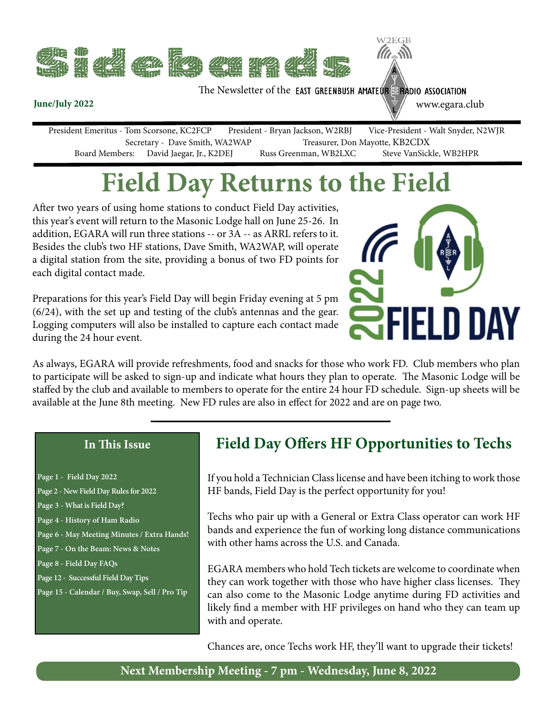

The Newsletter of the **EAST GREENBUSH AMATEUR** SEADIO ASSOCIATION

www.egara.club

W2EGB

President Emeritus - Tom Scorsone, KC2FCP President - Bryan Jackson, W2RBJ Vice-President - Walt Snyder, N2WJR Secretary - Dave Smith, WA2WAP Treasurer, Don Mayotte, KB2CDX<br>Board Members: David Jaegar, Jr., K2DEJ Russ Greenman, WB2LXC Steve VanSickle, WB2HPR David Jaegar, Jr., K2DEJ Russ Greenman, WB2LXC

# **Field Day Returns to the Field**

After two years of using home stations to conduct Field Day activities, this year's event will return to the Masonic Lodge hall on June 25-26. In addition, EGARA will run three stations -- or 3A -- as ARRL refers to it. Besides the club's two HF stations, Dave Smith, WA2WAP, will operate a digital station from the site, providing a bonus of two FD points for each digital contact made.

Preparations for this year's Field Day will begin Friday evening at 5 pm (6/24), with the set up and testing of the club's antennas and the gear. Logging computers will also be installed to capture each contact made during the 24 hour event.



As always, EGARA will provide refreshments, food and snacks for those who work FD. Club members who plan to participate will be asked to sign-up and indicate what hours they plan to operate. The Masonic Lodge will be staffed by the club and available to members to operate for the entire 24 hour FD schedule. Sign-up sheets will be available at the June 8th meeting. New FD rules are also in effect for 2022 and are on page two.

#### **In This Issue**

**June/July 2022**

| Page 1 - Field Day 2022                        |
|------------------------------------------------|
| Page 2 - New Field Day Rules for 2022          |
| Page 3 - What is Field Day?                    |
| Page 4 - History of Ham Radio                  |
| Page 6 - May Meeting Minutes / Extra Hands!    |
| Page 7 - On the Beam: News & Notes             |
| Page 8 - Field Day FAQs                        |
| Page 12 - Successful Field Day Tips            |
| Page 15 - Calendar / Buy, Swap, Sell / Pro Tip |
|                                                |

### **Field Day Offers HF Opportunities to Techs**

If you hold a Technician Class license and have been itching to work those HF bands, Field Day is the perfect opportunity for you!

Techs who pair up with a General or Extra Class operator can work HF bands and experience the fun of working long distance communications with other hams across the U.S. and Canada.

EGARA members who hold Tech tickets are welcome to coordinate when they can work together with those who have higher class licenses. They can also come to the Masonic Lodge anytime during FD activities and likely find a member with HF privileges on hand who they can team up with and operate.

Chances are, once Techs work HF, they'll want to upgrade their tickets!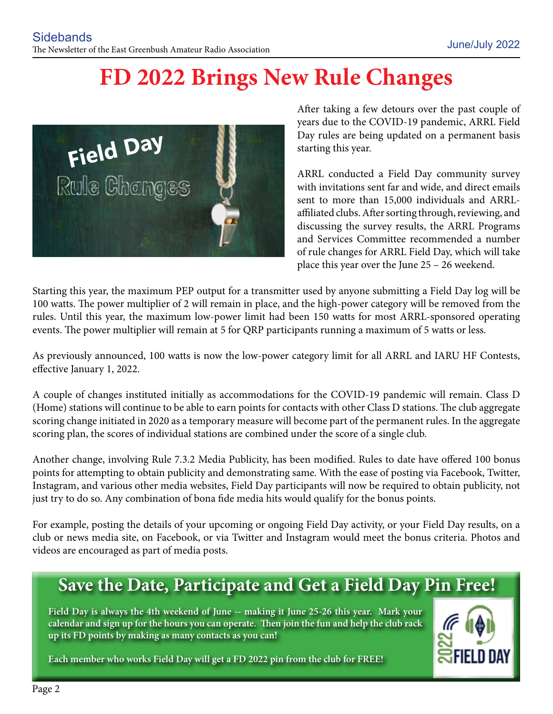## **FD 2022 Brings New Rule Changes**



After taking a few detours over the past couple of years due to the COVID-19 pandemic, ARRL Field Day rules are being updated on a permanent basis starting this year.

ARRL conducted a Field Day community survey with invitations sent far and wide, and direct emails sent to more than 15,000 individuals and ARRLaffiliated clubs. After sorting through, reviewing, and discussing the survey results, the ARRL Programs and Services Committee recommended a number of rule changes for ARRL Field Day, which will take place this year over the June 25 – 26 weekend.

Starting this year, the maximum PEP output for a transmitter used by anyone submitting a Field Day log will be 100 watts. The power multiplier of 2 will remain in place, and the high-power category will be removed from the rules. Until this year, the maximum low-power limit had been 150 watts for most ARRL-sponsored operating events. The power multiplier will remain at 5 for QRP participants running a maximum of 5 watts or less.

As previously announced, 100 watts is now the low-power category limit for all ARRL and IARU HF Contests, effective January 1, 2022.

A couple of changes instituted initially as accommodations for the COVID-19 pandemic will remain. Class D (Home) stations will continue to be able to earn points for contacts with other Class D stations. The club aggregate scoring change initiated in 2020 as a temporary measure will become part of the permanent rules. In the aggregate scoring plan, the scores of individual stations are combined under the score of a single club.

Another change, involving Rule 7.3.2 Media Publicity, has been modified. Rules to date have offered 100 bonus points for attempting to obtain publicity and demonstrating same. With the ease of posting via Facebook, Twitter, Instagram, and various other media websites, Field Day participants will now be required to obtain publicity, not just try to do so. Any combination of bona fide media hits would qualify for the bonus points.

For example, posting the details of your upcoming or ongoing Field Day activity, or your Field Day results, on a club or news media site, on Facebook, or via Twitter and Instagram would meet the bonus criteria. Photos and videos are encouraged as part of media posts.

## **Save the Date, Participate and Get a Field Day Pin Free!**

**Field Day is always the 4th weekend of June -- making it June 25-26 this year. Mark your calendar and sign up for the hours you can operate. Then join the fun and help the club rack up its FD points by making as many contacts as you can!**



**Each member who works Field Day will get a FD 2022 pin from the club for FREE!**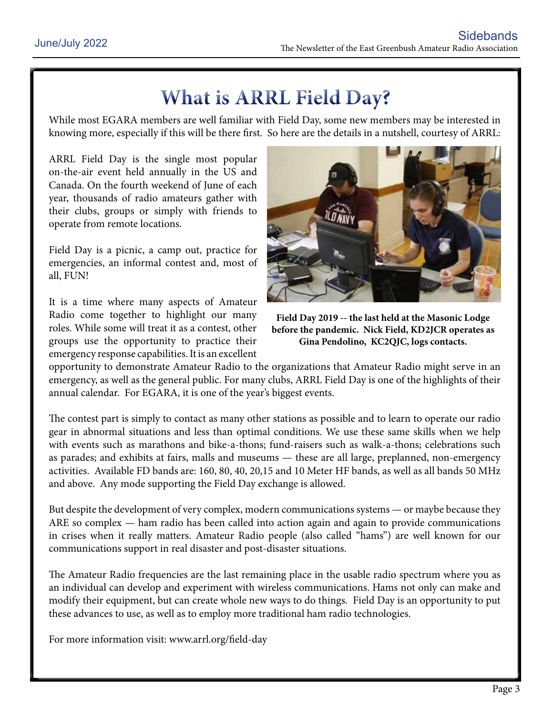## **What is ARRL Field Day?**

While most EGARA members are well familiar with Field Day, some new members may be interested in knowing more, especially if this will be there first. So here are the details in a nutshell, courtesy of ARRL:

ARRL Field Day is the single most popular on-the-air event held annually in the US and Canada. On the fourth weekend of June of each year, thousands of radio amateurs gather with their clubs, groups or simply with friends to operate from remote locations.

Field Day is a picnic, a camp out, practice for emergencies, an informal contest and, most of all, FUN!

It is a time where many aspects of Amateur Radio come together to highlight our many roles. While some will treat it as a contest, other groups use the opportunity to practice their emergency response capabilities. It is an excellent



**Field Day 2019 -- the last held at the Masonic Lodge before the pandemic. Nick Field, KD2JCR operates as Gina Pendolino, KC2QJC, logs contacts.**

opportunity to demonstrate Amateur Radio to the organizations that Amateur Radio might serve in an emergency, as well as the general public. For many clubs, ARRL Field Day is one of the highlights of their annual calendar. For EGARA, it is one of the year's biggest events.

The contest part is simply to contact as many other stations as possible and to learn to operate our radio gear in abnormal situations and less than optimal conditions. We use these same skills when we help with events such as marathons and bike-a-thons; fund-raisers such as walk-a-thons; celebrations such as parades; and exhibits at fairs, malls and museums — these are all large, preplanned, non-emergency activities. Available FD bands are: 160, 80, 40, 20,15 and 10 Meter HF bands, as well as all bands 50 MHz and above. Any mode supporting the Field Day exchange is allowed.

But despite the development of very complex, modern communications systems — or maybe because they ARE so complex — ham radio has been called into action again and again to provide communications in crises when it really matters. Amateur Radio people (also called "hams") are well known for our communications support in real disaster and post-disaster situations.

The Amateur Radio frequencies are the last remaining place in the usable radio spectrum where you as an individual can develop and experiment with wireless communications. Hams not only can make and modify their equipment, but can create whole new ways to do things. Field Day is an opportunity to put these advances to use, as well as to employ more traditional ham radio technologies.

For more information visit: www.arrl.org/field-day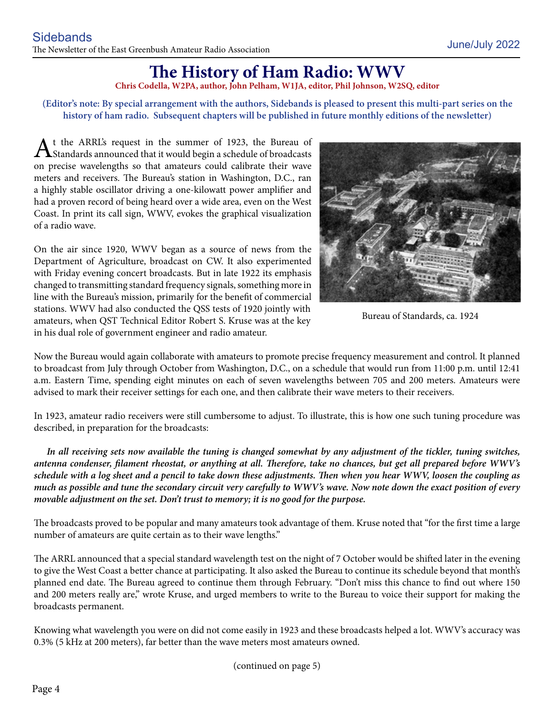### **The History of Ham Radio: WWV**

**Chris Codella, W2PA, author, John Pelham, W1JA, editor, Phil Johnson, W2SQ, editor**

#### **(Editor's note: By special arrangement with the authors, Sidebands is pleased to present this multi-part series on the history of ham radio. Subsequent chapters will be published in future monthly editions of the newsletter)**

At the ARRL's request in the summer of 1923, the Bureau of Standards announced that it would begin a schedule of broadcasts on precise wavelengths so that amateurs could calibrate their wave meters and receivers. The Bureau's station in Washington, D.C., ran a highly stable oscillator driving a one-kilowatt power amplifier and had a proven record of being heard over a wide area, even on the West Coast. In print its call sign, WWV, evokes the graphical visualization of a radio wave.

On the air since 1920, WWV began as a source of news from the Department of Agriculture, broadcast on CW. It also experimented with Friday evening concert broadcasts. But in late 1922 its emphasis changed to transmitting standard frequency signals, something more in line with the Bureau's mission, primarily for the benefit of commercial stations. WWV had also conducted the QSS tests of 1920 jointly with amateurs, when QST Technical Editor Robert S. Kruse was at the key in his dual role of government engineer and radio amateur.



Bureau of Standards, ca. 1924

Now the Bureau would again collaborate with amateurs to promote precise frequency measurement and control. It planned to broadcast from July through October from Washington, D.C., on a schedule that would run from 11:00 p.m. until 12:41 a.m. Eastern Time, spending eight minutes on each of seven wavelengths between 705 and 200 meters. Amateurs were advised to mark their receiver settings for each one, and then calibrate their wave meters to their receivers.

In 1923, amateur radio receivers were still cumbersome to adjust. To illustrate, this is how one such tuning procedure was described, in preparation for the broadcasts:

In all receiving sets now available the tuning is changed somewhat by any adjustment of the tickler, tuning switches, *antenna condenser, filament rheostat, or anything at all. Therefore, take no chances, but get all prepared before WWV's schedule with a log sheet and a pencil to take down these adjustments. Then when you hear WWV, loosen the coupling as much as possible and tune the secondary circuit very carefully to WWV's wave. Now note down the exact position of every movable adjustment on the set. Don't trust to memory; it is no good for the purpose.*

The broadcasts proved to be popular and many amateurs took advantage of them. Kruse noted that "for the first time a large number of amateurs are quite certain as to their wave lengths."

The ARRL announced that a special standard wavelength test on the night of 7 October would be shifted later in the evening to give the West Coast a better chance at participating. It also asked the Bureau to continue its schedule beyond that month's planned end date. The Bureau agreed to continue them through February. "Don't miss this chance to find out where 150 and 200 meters really are," wrote Kruse, and urged members to write to the Bureau to voice their support for making the broadcasts permanent.

Knowing what wavelength you were on did not come easily in 1923 and these broadcasts helped a lot. WWV's accuracy was 0.3% (5 kHz at 200 meters), far better than the wave meters most amateurs owned.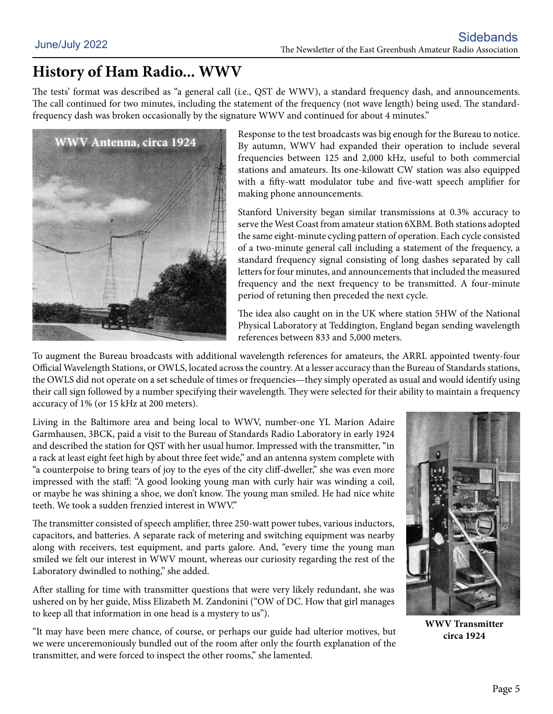### **History of Ham Radio... WWV**

The tests' format was described as "a general call (i.e., QST de WWV), a standard frequency dash, and announcements. The call continued for two minutes, including the statement of the frequency (not wave length) being used. The standardfrequency dash was broken occasionally by the signature WWV and continued for about 4 minutes."



Response to the test broadcasts was big enough for the Bureau to notice. By autumn, WWV had expanded their operation to include several frequencies between 125 and 2,000 kHz, useful to both commercial stations and amateurs. Its one-kilowatt CW station was also equipped with a fifty-watt modulator tube and five-watt speech amplifier for making phone announcements.

Stanford University began similar transmissions at 0.3% accuracy to serve the West Coast from amateur station 6XBM. Both stations adopted the same eight-minute cycling pattern of operation. Each cycle consisted of a two-minute general call including a statement of the frequency, a standard frequency signal consisting of long dashes separated by call letters for four minutes, and announcements that included the measured frequency and the next frequency to be transmitted. A four-minute period of retuning then preceded the next cycle.

The idea also caught on in the UK where station 5HW of the National Physical Laboratory at Teddington, England began sending wavelength references between 833 and 5,000 meters.

To augment the Bureau broadcasts with additional wavelength references for amateurs, the ARRL appointed twenty-four Official Wavelength Stations, or OWLS, located across the country. At a lesser accuracy than the Bureau of Standards stations, the OWLS did not operate on a set schedule of times or frequencies—they simply operated as usual and would identify using their call sign followed by a number specifying their wavelength. They were selected for their ability to maintain a frequency accuracy of 1% (or 15 kHz at 200 meters).

Living in the Baltimore area and being local to WWV, number-one YL Marion Adaire Garmhausen, 3BCK, paid a visit to the Bureau of Standards Radio Laboratory in early 1924 and described the station for QST with her usual humor. Impressed with the transmitter, "in a rack at least eight feet high by about three feet wide," and an antenna system complete with "a counterpoise to bring tears of joy to the eyes of the city cliff-dweller," she was even more impressed with the staff: "A good looking young man with curly hair was winding a coil, or maybe he was shining a shoe, we don't know. The young man smiled. He had nice white teeth. We took a sudden frenzied interest in WWV."

The transmitter consisted of speech amplifier, three 250-watt power tubes, various inductors, capacitors, and batteries. A separate rack of metering and switching equipment was nearby along with receivers, test equipment, and parts galore. And, "every time the young man smiled we felt our interest in WWV mount, whereas our curiosity regarding the rest of the Laboratory dwindled to nothing," she added.

After stalling for time with transmitter questions that were very likely redundant, she was ushered on by her guide, Miss Elizabeth M. Zandonini ("OW of DC. How that girl manages to keep all that information in one head is a mystery to us").

"It may have been mere chance, of course, or perhaps our guide had ulterior motives, but we were unceremoniously bundled out of the room after only the fourth explanation of the transmitter, and were forced to inspect the other rooms," she lamented.



**WWV Transmitter circa 1924**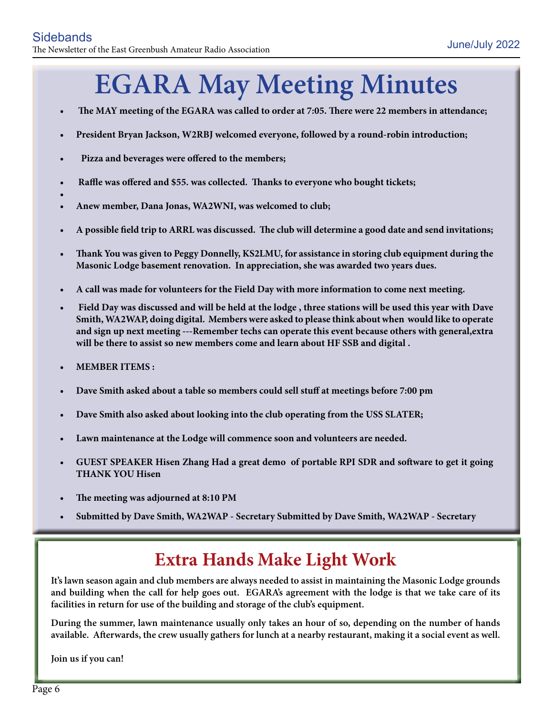# **EGARA May Meeting Minutes**

- The MAY meeting of the EGARA was called to order at 7:05. There were 22 members in attendance;
- **• President Bryan Jackson, W2RBJ welcomed everyone, followed by a round-robin introduction;**
- **Pizza and beverages were offered to the members;**
- Raffle was offered and \$55. was collected. Thanks to everyone who bought tickets;
- **•**
- Anew member, Dana Jonas, WA2WNI, was welcomed to club;
- **• A possible field trip to ARRL was discussed. The club will determine a good date and send invitations;**
- Thank You was given to Peggy Donnelly, KS2LMU, for assistance in storing club equipment during the **Masonic Lodge basement renovation. In appreciation, she was awarded two years dues.**
- **• A call was made for volunteers for the Field Day with more information to come next meeting.**
- Field Day was discussed and will be held at the lodge, three stations will be used this year with Dave **Smith, WA2WAP, doing digital. Members were asked to please think about when would like to operate and sign up next meeting ---Remember techs can operate this event because others with general,extra will be there to assist so new members come and learn about HF SSB and digital .**
- **• MEMBER ITEMS :**
- Dave Smith asked about a table so members could sell stuff at meetings before 7:00 pm
- Dave Smith also asked about looking into the club operating from the USS SLATER;
- Lawn maintenance at the Lodge will commence soon and volunteers are needed.
- **• GUEST SPEAKER Hisen Zhang Had a great demo of portable RPI SDR and software to get it going THANK YOU Hisen**
- The meeting was adjourned at 8:10 PM
- **• Submitted by Dave Smith, WA2WAP Secretary Submitted by Dave Smith, WA2WAP Secretary**

### **Extra Hands Make Light Work**

**It's lawn season again and club members are always needed to assist in maintaining the Masonic Lodge grounds and building when the call for help goes out. EGARA's agreement with the lodge is that we take care of its facilities in return for use of the building and storage of the club's equipment.**

**During the summer, lawn maintenance usually only takes an hour of so, depending on the number of hands available. Afterwards, the crew usually gathers for lunch at a nearby restaurant, making it a social event as well.**

**Join us if you can!**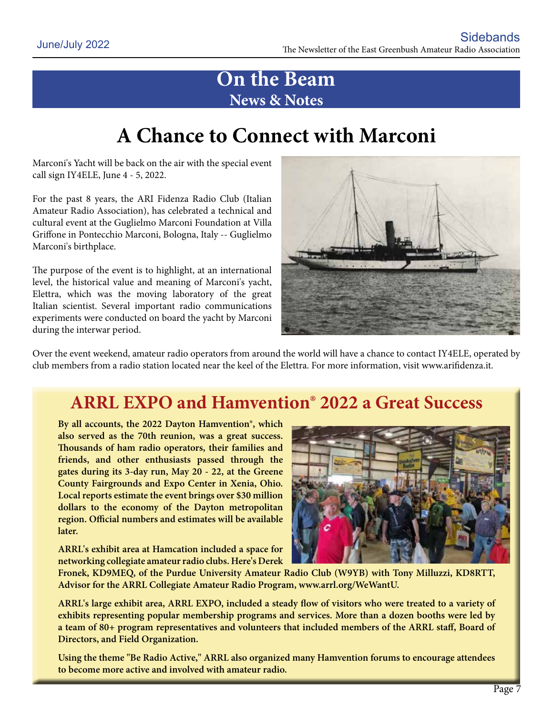### **On the Beam News & Notes**

## **A Chance to Connect with Marconi**

Marconi's Yacht will be back on the air with the special event call sign IY4ELE, June 4 - 5, 2022.

For the past 8 years, the ARI Fidenza Radio Club (Italian Amateur Radio Association), has celebrated a technical and cultural event at the Guglielmo Marconi Foundation at Villa Griffone in Pontecchio Marconi, Bologna, Italy -- Guglielmo Marconi's birthplace.

The purpose of the event is to highlight, at an international level, the historical value and meaning of Marconi's yacht, Elettra, which was the moving laboratory of the great Italian scientist. Several important radio communications experiments were conducted on board the yacht by Marconi during the interwar period.



Over the event weekend, amateur radio operators from around the world will have a chance to contact IY4ELE, operated by club members from a radio station located near the keel of the Elettra. For more information, visit www.arifidenza.it.

### **ARRL EXPO and Hamvention® 2022 a Great Success**

**By all accounts, the 2022 Dayton Hamvention®, which also served as the 70th reunion, was a great success. Thousands of ham radio operators, their families and friends, and other enthusiasts passed through the gates during its 3-day run, May 20 - 22, at the Greene County Fairgrounds and Expo Center in Xenia, Ohio. Local reports estimate the event brings over \$30 million dollars to the economy of the Dayton metropolitan region. Official numbers and estimates will be available later.**

**ARRL's exhibit area at Hamcation included a space for networking collegiate amateur radio clubs. Here's Derek** 



**Fronek, KD9MEQ, of the Purdue University Amateur Radio Club (W9YB) with Tony Milluzzi, KD8RTT, Advisor for the ARRL Collegiate Amateur Radio Program, www.arrl.org/WeWantU.**

**ARRL's large exhibit area, ARRL EXPO, included a steady flow of visitors who were treated to a variety of exhibits representing popular membership programs and services. More than a dozen booths were led by a team of 80+ program representatives and volunteers that included members of the ARRL staff, Board of Directors, and Field Organization.**

**Using the theme "Be Radio Active," ARRL also organized many Hamvention forums to encourage attendees to become more active and involved with amateur radio.**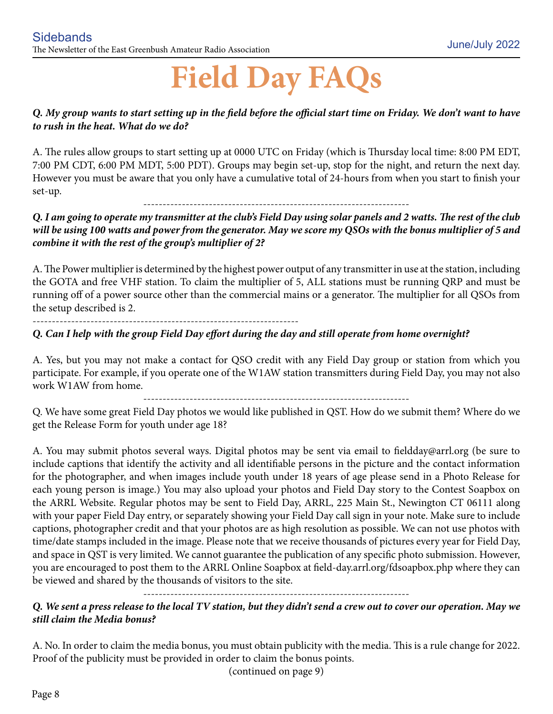# **Field Day FAQs**

#### *Q. My group wants to start setting up in the field before the official start time on Friday. We don't want to have to rush in the heat. What do we do?*

A. The rules allow groups to start setting up at 0000 UTC on Friday (which is Thursday local time: 8:00 PM EDT, 7:00 PM CDT, 6:00 PM MDT, 5:00 PDT). Groups may begin set-up, stop for the night, and return the next day. However you must be aware that you only have a cumulative total of 24-hours from when you start to finish your set-up.

---------------------------------------------------------------------

*Q. I am going to operate my transmitter at the club's Field Day using solar panels and 2 watts. The rest of the club will be using 100 watts and power from the generator. May we score my QSOs with the bonus multiplier of 5 and combine it with the rest of the group's multiplier of 2?*

A. The Power multiplier is determined by the highest power output of any transmitter in use at the station, including the GOTA and free VHF station. To claim the multiplier of 5, ALL stations must be running QRP and must be running off of a power source other than the commercial mains or a generator. The multiplier for all QSOs from the setup described is 2.

---------------------------------------------------------------------

#### *Q. Can I help with the group Field Day effort during the day and still operate from home overnight?*

A. Yes, but you may not make a contact for QSO credit with any Field Day group or station from which you participate. For example, if you operate one of the W1AW station transmitters during Field Day, you may not also work W1AW from home.

---------------------------------------------------------------------

Q. We have some great Field Day photos we would like published in QST. How do we submit them? Where do we get the Release Form for youth under age 18?

A. You may submit photos several ways. Digital photos may be sent via email to fieldday@arrl.org (be sure to include captions that identify the activity and all identifiable persons in the picture and the contact information for the photographer, and when images include youth under 18 years of age please send in a Photo Release for each young person is image.) You may also upload your photos and Field Day story to the Contest Soapbox on the ARRL Website. Regular photos may be sent to Field Day, ARRL, 225 Main St., Newington CT 06111 along with your paper Field Day entry, or separately showing your Field Day call sign in your note. Make sure to include captions, photographer credit and that your photos are as high resolution as possible. We can not use photos with time/date stamps included in the image. Please note that we receive thousands of pictures every year for Field Day, and space in QST is very limited. We cannot guarantee the publication of any specific photo submission. However, you are encouraged to post them to the ARRL Online Soapbox at field-day.arrl.org/fdsoapbox.php where they can be viewed and shared by the thousands of visitors to the site.

#### *Q. We sent a press release to the local TV station, but they didn't send a crew out to cover our operation. May we still claim the Media bonus?*

---------------------------------------------------------------------

A. No. In order to claim the media bonus, you must obtain publicity with the media. This is a rule change for 2022. Proof of the publicity must be provided in order to claim the bonus points.

(continued on page 9)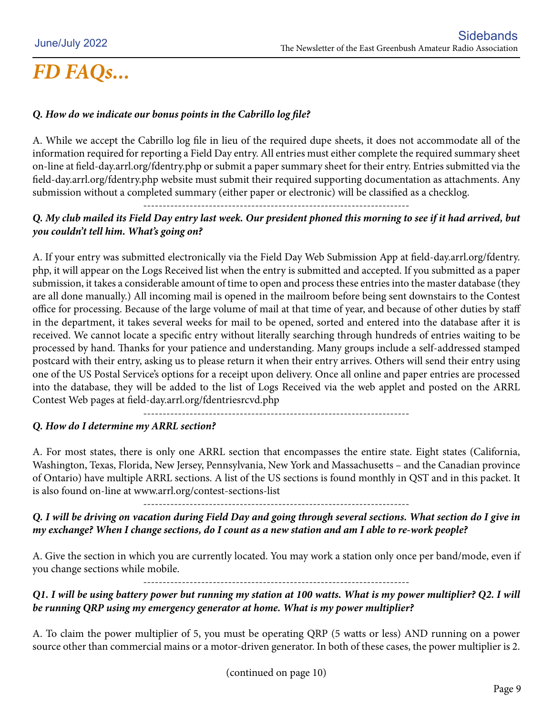#### *Q. How do we indicate our bonus points in the Cabrillo log file?*

A. While we accept the Cabrillo log file in lieu of the required dupe sheets, it does not accommodate all of the information required for reporting a Field Day entry. All entries must either complete the required summary sheet on-line at field-day.arrl.org/fdentry.php or submit a paper summary sheet for their entry. Entries submitted via the field-day.arrl.org/fdentry.php website must submit their required supporting documentation as attachments. Any submission without a completed summary (either paper or electronic) will be classified as a checklog. ---------------------------------------------------------------------

#### *Q. My club mailed its Field Day entry last week. Our president phoned this morning to see if it had arrived, but you couldn't tell him. What's going on?*

A. If your entry was submitted electronically via the Field Day Web Submission App at field-day.arrl.org/fdentry. php, it will appear on the Logs Received list when the entry is submitted and accepted. If you submitted as a paper submission, it takes a considerable amount of time to open and process these entries into the master database (they are all done manually.) All incoming mail is opened in the mailroom before being sent downstairs to the Contest office for processing. Because of the large volume of mail at that time of year, and because of other duties by staff in the department, it takes several weeks for mail to be opened, sorted and entered into the database after it is received. We cannot locate a specific entry without literally searching through hundreds of entries waiting to be processed by hand. Thanks for your patience and understanding. Many groups include a self-addressed stamped postcard with their entry, asking us to please return it when their entry arrives. Others will send their entry using one of the US Postal Service's options for a receipt upon delivery. Once all online and paper entries are processed into the database, they will be added to the list of Logs Received via the web applet and posted on the ARRL Contest Web pages at field-day.arrl.org/fdentriesrcvd.php

---------------------------------------------------------------------

#### *Q. How do I determine my ARRL section?*

A. For most states, there is only one ARRL section that encompasses the entire state. Eight states (California, Washington, Texas, Florida, New Jersey, Pennsylvania, New York and Massachusetts – and the Canadian province of Ontario) have multiple ARRL sections. A list of the US sections is found monthly in QST and in this packet. It is also found on-line at www.arrl.org/contest-sections-list

---------------------------------------------------------------------

#### *Q. I will be driving on vacation during Field Day and going through several sections. What section do I give in my exchange? When I change sections, do I count as a new station and am I able to re-work people?*

A. Give the section in which you are currently located. You may work a station only once per band/mode, even if you change sections while mobile.

---------------------------------------------------------------------

#### *Q1. I will be using battery power but running my station at 100 watts. What is my power multiplier? Q2. I will be running QRP using my emergency generator at home. What is my power multiplier?*

A. To claim the power multiplier of 5, you must be operating QRP (5 watts or less) AND running on a power source other than commercial mains or a motor-driven generator. In both of these cases, the power multiplier is 2.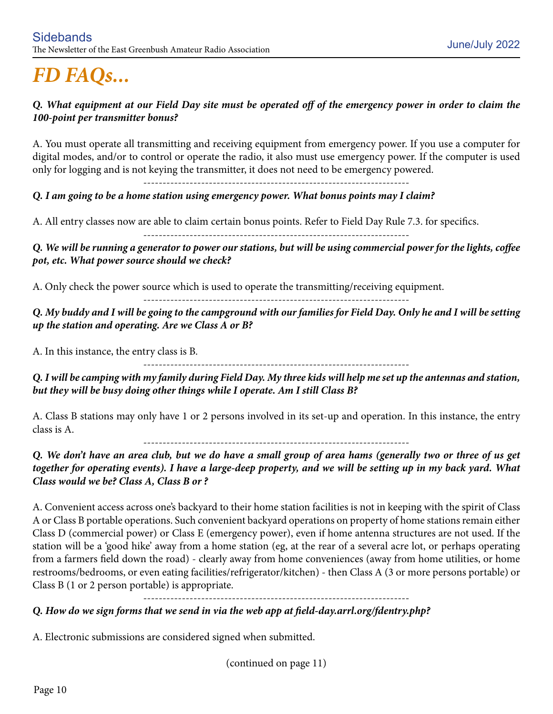#### *Q. What equipment at our Field Day site must be operated off of the emergency power in order to claim the 100-point per transmitter bonus?*

A. You must operate all transmitting and receiving equipment from emergency power. If you use a computer for digital modes, and/or to control or operate the radio, it also must use emergency power. If the computer is used only for logging and is not keying the transmitter, it does not need to be emergency powered.

---------------------------------------------------------------------

#### *Q. I am going to be a home station using emergency power. What bonus points may I claim?*

A. All entry classes now are able to claim certain bonus points. Refer to Field Day Rule 7.3. for specifics.

---------------------------------------------------------------------

*Q. We will be running a generator to power our stations, but will be using commercial power for the lights, coffee pot, etc. What power source should we check?*

A. Only check the power source which is used to operate the transmitting/receiving equipment.

---------------------------------------------------------------------

*Q. My buddy and I will be going to the campground with our families for Field Day. Only he and I will be setting up the station and operating. Are we Class A or B?*

A. In this instance, the entry class is B.

---------------------------------------------------------------------

*Q. I will be camping with my family during Field Day. My three kids will help me set up the antennas and station, but they will be busy doing other things while I operate. Am I still Class B?*

A. Class B stations may only have 1 or 2 persons involved in its set-up and operation. In this instance, the entry class is A.

---------------------------------------------------------------------

*Q. We don't have an area club, but we do have a small group of area hams (generally two or three of us get together for operating events). I have a large-deep property, and we will be setting up in my back yard. What Class would we be? Class A, Class B or ?*

A. Convenient access across one's backyard to their home station facilities is not in keeping with the spirit of Class A or Class B portable operations. Such convenient backyard operations on property of home stations remain either Class D (commercial power) or Class E (emergency power), even if home antenna structures are not used. If the station will be a 'good hike' away from a home station (eg, at the rear of a several acre lot, or perhaps operating from a farmers field down the road) - clearly away from home conveniences (away from home utilities, or home restrooms/bedrooms, or even eating facilities/refrigerator/kitchen) - then Class A (3 or more persons portable) or Class B (1 or 2 person portable) is appropriate.

---------------------------------------------------------------------

#### *Q. How do we sign forms that we send in via the web app at field-day.arrl.org/fdentry.php?*

A. Electronic submissions are considered signed when submitted.

(continued on page 11)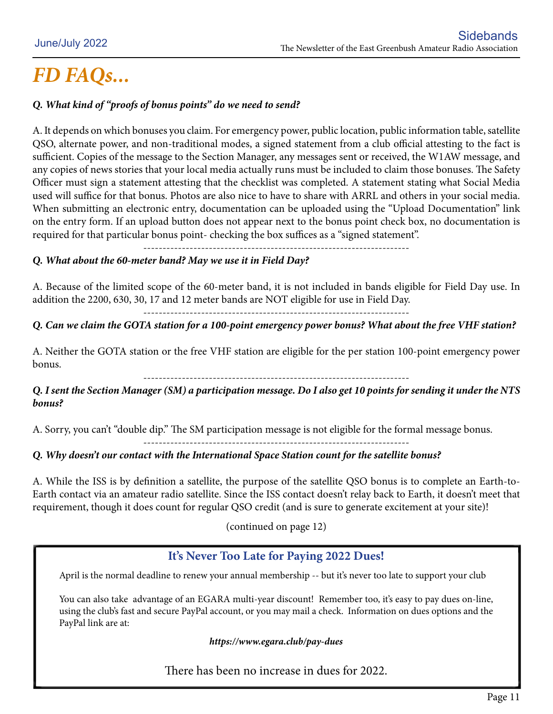#### *Q. What kind of "proofs of bonus points" do we need to send?*

A. It depends on which bonuses you claim. For emergency power, public location, public information table, satellite QSO, alternate power, and non-traditional modes, a signed statement from a club official attesting to the fact is sufficient. Copies of the message to the Section Manager, any messages sent or received, the W1AW message, and any copies of news stories that your local media actually runs must be included to claim those bonuses. The Safety Officer must sign a statement attesting that the checklist was completed. A statement stating what Social Media used will suffice for that bonus. Photos are also nice to have to share with ARRL and others in your social media. When submitting an electronic entry, documentation can be uploaded using the "Upload Documentation" link on the entry form. If an upload button does not appear next to the bonus point check box, no documentation is required for that particular bonus point- checking the box suffices as a "signed statement".

---------------------------------------------------------------------

#### *Q. What about the 60-meter band? May we use it in Field Day?*

A. Because of the limited scope of the 60-meter band, it is not included in bands eligible for Field Day use. In addition the 2200, 630, 30, 17 and 12 meter bands are NOT eligible for use in Field Day.

---------------------------------------------------------------------

#### *Q. Can we claim the GOTA station for a 100-point emergency power bonus? What about the free VHF station?*

A. Neither the GOTA station or the free VHF station are eligible for the per station 100-point emergency power bonus.

---------------------------------------------------------------------

#### *Q. I sent the Section Manager (SM) a participation message. Do I also get 10 points for sending it under the NTS bonus?*

A. Sorry, you can't "double dip." The SM participation message is not eligible for the formal message bonus.

#### ---------------------------------------------------------------------

#### *Q. Why doesn't our contact with the International Space Station count for the satellite bonus?*

A. While the ISS is by definition a satellite, the purpose of the satellite QSO bonus is to complete an Earth-to-Earth contact via an amateur radio satellite. Since the ISS contact doesn't relay back to Earth, it doesn't meet that requirement, though it does count for regular QSO credit (and is sure to generate excitement at your site)!

(continued on page 12)

#### **It's Never Too Late for Paying 2022 Dues!**

April is the normal deadline to renew your annual membership -- but it's never too late to support your club

You can also take advantage of an EGARA multi-year discount! Remember too, it's easy to pay dues on-line, using the club's fast and secure PayPal account, or you may mail a check. Information on dues options and the PayPal link are at:

#### *https://www.egara.club/pay-dues*

There has been no increase in dues for 2022.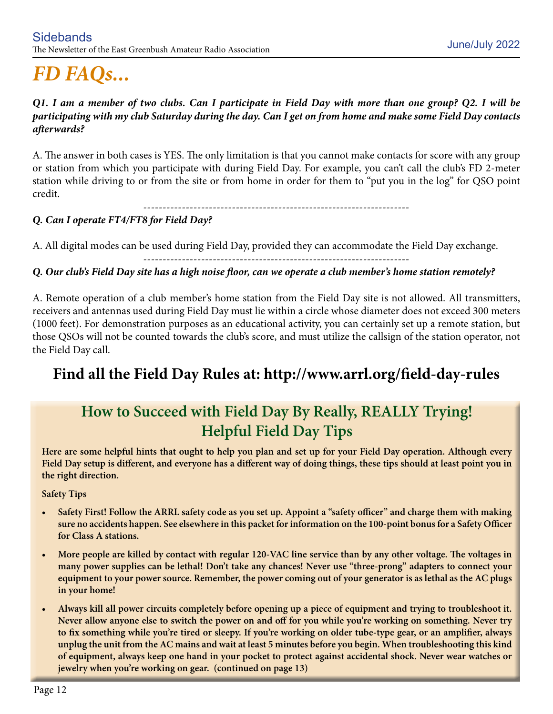#### *Q1. I am a member of two clubs. Can I participate in Field Day with more than one group? Q2. I will be participating with my club Saturday during the day. Can I get on from home and make some Field Day contacts afterwards?*

A. The answer in both cases is YES. The only limitation is that you cannot make contacts for score with any group or station from which you participate with during Field Day. For example, you can't call the club's FD 2-meter station while driving to or from the site or from home in order for them to "put you in the log" for QSO point credit.

---------------------------------------------------------------------

#### *Q. Can I operate FT4/FT8 for Field Day?*

A. All digital modes can be used during Field Day, provided they can accommodate the Field Day exchange.

#### ---------------------------------------------------------------------

#### *Q. Our club's Field Day site has a high noise floor, can we operate a club member's home station remotely?*

A. Remote operation of a club member's home station from the Field Day site is not allowed. All transmitters, receivers and antennas used during Field Day must lie within a circle whose diameter does not exceed 300 meters (1000 feet). For demonstration purposes as an educational activity, you can certainly set up a remote station, but those QSOs will not be counted towards the club's score, and must utilize the callsign of the station operator, not the Field Day call.

### **Find all the Field Day Rules at: http://www.arrl.org/field-day-rules**

### **How to Succeed with Field Day By Really, REALLY Trying! Helpful Field Day Tips**

**Here are some helpful hints that ought to help you plan and set up for your Field Day operation. Although every Field Day setup is different, and everyone has a different way of doing things, these tips should at least point you in the right direction.** 

**Safety Tips**

- **Safety First! Follow the ARRL safety code as you set up. Appoint a "safety officer" and charge them with making sure no accidents happen. See elsewhere in this packet for information on the 100-point bonus for a Safety Officer for Class A stations.**
- More people are killed by contact with regular 120-VAC line service than by any other voltage. The voltages in **many power supplies can be lethal! Don't take any chances! Never use "three-prong" adapters to connect your equipment to your power source. Remember, the power coming out of your generator is as lethal as the AC plugs in your home!**
- Always kill all power circuits completely before opening up a piece of equipment and trying to troubleshoot it. **Never allow anyone else to switch the power on and off for you while you're working on something. Never try to fix something while you're tired or sleepy. If you're working on older tube-type gear, or an amplifier, always unplug the unit from the AC mains and wait at least 5 minutes before you begin. When troubleshooting this kind of equipment, always keep one hand in your pocket to protect against accidental shock. Never wear watches or jewelry when you're working on gear. (continued on page 13)**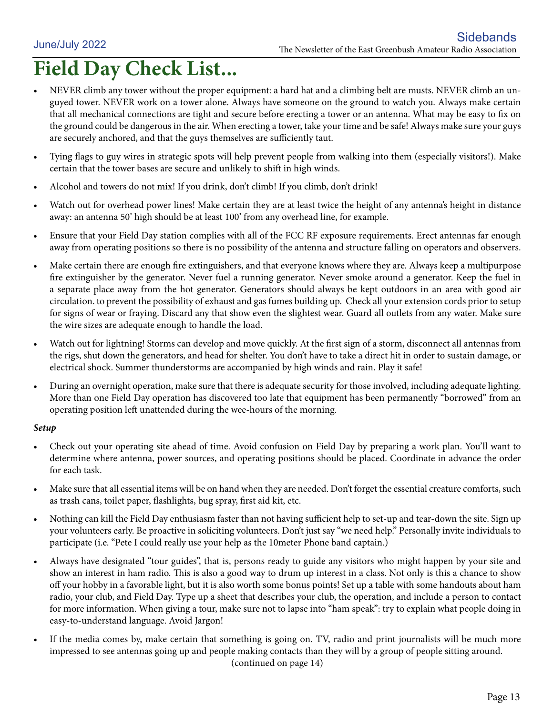## **Field Day Check List...**

- NEVER climb any tower without the proper equipment: a hard hat and a climbing belt are musts. NEVER climb an unguyed tower. NEVER work on a tower alone. Always have someone on the ground to watch you. Always make certain that all mechanical connections are tight and secure before erecting a tower or an antenna. What may be easy to fix on the ground could be dangerous in the air. When erecting a tower, take your time and be safe! Always make sure your guys are securely anchored, and that the guys themselves are sufficiently taut.
- Tying flags to guy wires in strategic spots will help prevent people from walking into them (especially visitors!). Make certain that the tower bases are secure and unlikely to shift in high winds.
- Alcohol and towers do not mix! If you drink, don't climb! If you climb, don't drink!
- Watch out for overhead power lines! Make certain they are at least twice the height of any antenna's height in distance away: an antenna 50' high should be at least 100' from any overhead line, for example.
- Ensure that your Field Day station complies with all of the FCC RF exposure requirements. Erect antennas far enough away from operating positions so there is no possibility of the antenna and structure falling on operators and observers.
- Make certain there are enough fire extinguishers, and that everyone knows where they are. Always keep a multipurpose fire extinguisher by the generator. Never fuel a running generator. Never smoke around a generator. Keep the fuel in a separate place away from the hot generator. Generators should always be kept outdoors in an area with good air circulation. to prevent the possibility of exhaust and gas fumes building up. Check all your extension cords prior to setup for signs of wear or fraying. Discard any that show even the slightest wear. Guard all outlets from any water. Make sure the wire sizes are adequate enough to handle the load.
- Watch out for lightning! Storms can develop and move quickly. At the first sign of a storm, disconnect all antennas from the rigs, shut down the generators, and head for shelter. You don't have to take a direct hit in order to sustain damage, or electrical shock. Summer thunderstorms are accompanied by high winds and rain. Play it safe!
- During an overnight operation, make sure that there is adequate security for those involved, including adequate lighting. More than one Field Day operation has discovered too late that equipment has been permanently "borrowed" from an operating position left unattended during the wee-hours of the morning.

#### *Setup*

- Check out your operating site ahead of time. Avoid confusion on Field Day by preparing a work plan. You'll want to determine where antenna, power sources, and operating positions should be placed. Coordinate in advance the order for each task.
- Make sure that all essential items will be on hand when they are needed. Don't forget the essential creature comforts, such as trash cans, toilet paper, flashlights, bug spray, first aid kit, etc.
- Nothing can kill the Field Day enthusiasm faster than not having sufficient help to set-up and tear-down the site. Sign up your volunteers early. Be proactive in soliciting volunteers. Don't just say "we need help." Personally invite individuals to participate (i.e. "Pete I could really use your help as the 10meter Phone band captain.)
- Always have designated "tour guides", that is, persons ready to guide any visitors who might happen by your site and show an interest in ham radio. This is also a good way to drum up interest in a class. Not only is this a chance to show off your hobby in a favorable light, but it is also worth some bonus points! Set up a table with some handouts about ham radio, your club, and Field Day. Type up a sheet that describes your club, the operation, and include a person to contact for more information. When giving a tour, make sure not to lapse into "ham speak": try to explain what people doing in easy-to-understand language. Avoid Jargon!
- If the media comes by, make certain that something is going on. TV, radio and print journalists will be much more impressed to see antennas going up and people making contacts than they will by a group of people sitting around. (continued on page 14)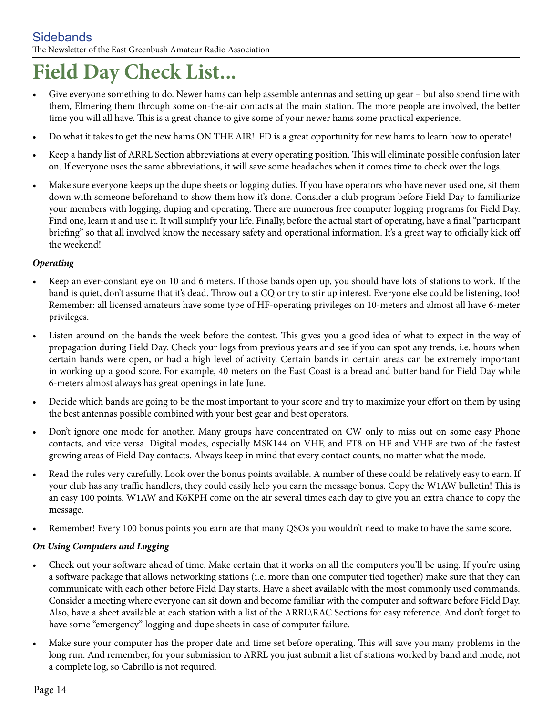## **Field Day Check List...**

- Give everyone something to do. Newer hams can help assemble antennas and setting up gear but also spend time with them, Elmering them through some on-the-air contacts at the main station. The more people are involved, the better time you will all have. This is a great chance to give some of your newer hams some practical experience.
- Do what it takes to get the new hams ON THE AIR! FD is a great opportunity for new hams to learn how to operate!
- Keep a handy list of ARRL Section abbreviations at every operating position. This will eliminate possible confusion later on. If everyone uses the same abbreviations, it will save some headaches when it comes time to check over the logs.
- Make sure everyone keeps up the dupe sheets or logging duties. If you have operators who have never used one, sit them down with someone beforehand to show them how it's done. Consider a club program before Field Day to familiarize your members with logging, duping and operating. There are numerous free computer logging programs for Field Day. Find one, learn it and use it. It will simplify your life. Finally, before the actual start of operating, have a final "participant briefing" so that all involved know the necessary safety and operational information. It's a great way to officially kick off the weekend!

#### *Operating*

- • Keep an ever-constant eye on 10 and 6 meters. If those bands open up, you should have lots of stations to work. If the band is quiet, don't assume that it's dead. Throw out a CQ or try to stir up interest. Everyone else could be listening, too! Remember: all licensed amateurs have some type of HF-operating privileges on 10-meters and almost all have 6-meter privileges.
- • Listen around on the bands the week before the contest. This gives you a good idea of what to expect in the way of propagation during Field Day. Check your logs from previous years and see if you can spot any trends, i.e. hours when certain bands were open, or had a high level of activity. Certain bands in certain areas can be extremely important in working up a good score. For example, 40 meters on the East Coast is a bread and butter band for Field Day while 6-meters almost always has great openings in late June.
- Decide which bands are going to be the most important to your score and try to maximize your effort on them by using the best antennas possible combined with your best gear and best operators.
- Don't ignore one mode for another. Many groups have concentrated on CW only to miss out on some easy Phone contacts, and vice versa. Digital modes, especially MSK144 on VHF, and FT8 on HF and VHF are two of the fastest growing areas of Field Day contacts. Always keep in mind that every contact counts, no matter what the mode.
- Read the rules very carefully. Look over the bonus points available. A number of these could be relatively easy to earn. If your club has any traffic handlers, they could easily help you earn the message bonus. Copy the W1AW bulletin! This is an easy 100 points. W1AW and K6KPH come on the air several times each day to give you an extra chance to copy the message.
- Remember! Every 100 bonus points you earn are that many QSOs you wouldn't need to make to have the same score.

#### *On Using Computers and Logging*

- • Check out your software ahead of time. Make certain that it works on all the computers you'll be using. If you're using a software package that allows networking stations (i.e. more than one computer tied together) make sure that they can communicate with each other before Field Day starts. Have a sheet available with the most commonly used commands. Consider a meeting where everyone can sit down and become familiar with the computer and software before Field Day. Also, have a sheet available at each station with a list of the ARRL\RAC Sections for easy reference. And don't forget to have some "emergency" logging and dupe sheets in case of computer failure.
- • Make sure your computer has the proper date and time set before operating. This will save you many problems in the long run. And remember, for your submission to ARRL you just submit a list of stations worked by band and mode, not a complete log, so Cabrillo is not required.